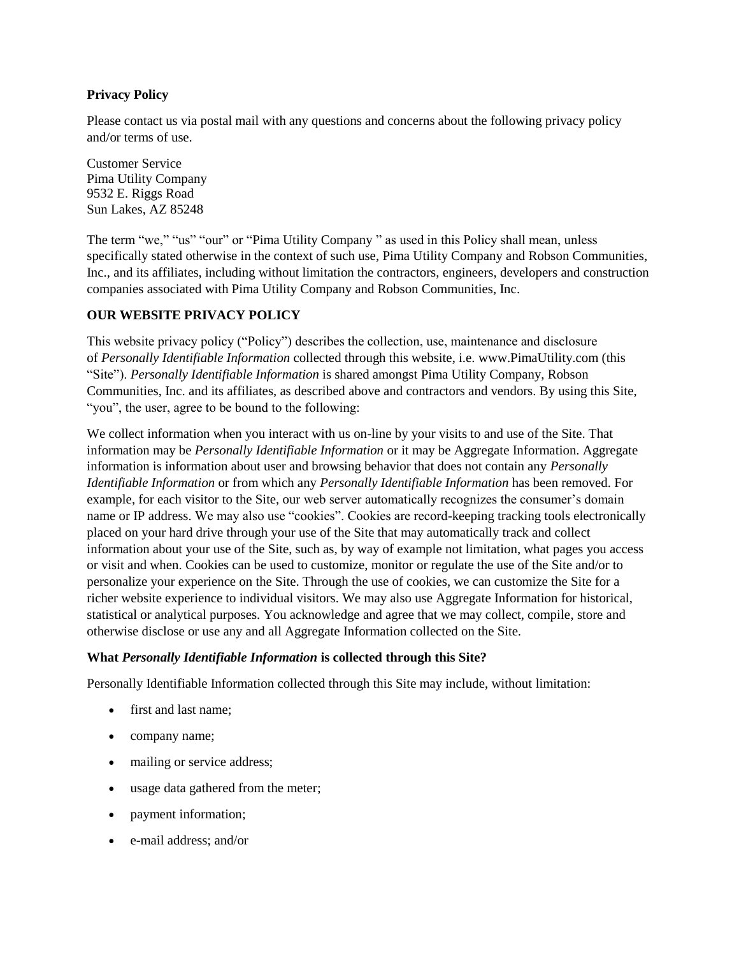#### **Privacy Policy**

Please contact us via postal mail with any questions and concerns about the following privacy policy and/or terms of use.

Customer Service Pima Utility Company 9532 E. Riggs Road Sun Lakes, AZ 85248

The term "we," "us" "our" or "Pima Utility Company " as used in this Policy shall mean, unless specifically stated otherwise in the context of such use, Pima Utility Company and Robson Communities, Inc., and its affiliates, including without limitation the contractors, engineers, developers and construction companies associated with Pima Utility Company and Robson Communities, Inc.

# **OUR WEBSITE PRIVACY POLICY**

This website privacy policy ("Policy") describes the collection, use, maintenance and disclosure of *Personally Identifiable Information* collected through this website, i.e. www.PimaUtility.com (this "Site"). *Personally Identifiable Information* is shared amongst Pima Utility Company, Robson Communities, Inc. and its affiliates, as described above and contractors and vendors. By using this Site, "you", the user, agree to be bound to the following:

We collect information when you interact with us on-line by your visits to and use of the Site. That information may be *Personally Identifiable Information* or it may be Aggregate Information. Aggregate information is information about user and browsing behavior that does not contain any *Personally Identifiable Information* or from which any *Personally Identifiable Information* has been removed. For example, for each visitor to the Site, our web server automatically recognizes the consumer's domain name or IP address. We may also use "cookies". Cookies are record-keeping tracking tools electronically placed on your hard drive through your use of the Site that may automatically track and collect information about your use of the Site, such as, by way of example not limitation, what pages you access or visit and when. Cookies can be used to customize, monitor or regulate the use of the Site and/or to personalize your experience on the Site. Through the use of cookies, we can customize the Site for a richer website experience to individual visitors. We may also use Aggregate Information for historical, statistical or analytical purposes. You acknowledge and agree that we may collect, compile, store and otherwise disclose or use any and all Aggregate Information collected on the Site.

#### **What** *Personally Identifiable Information* **is collected through this Site?**

Personally Identifiable Information collected through this Site may include, without limitation:

- first and last name;
- company name;
- mailing or service address;
- usage data gathered from the meter;
- payment information;
- e-mail address; and/or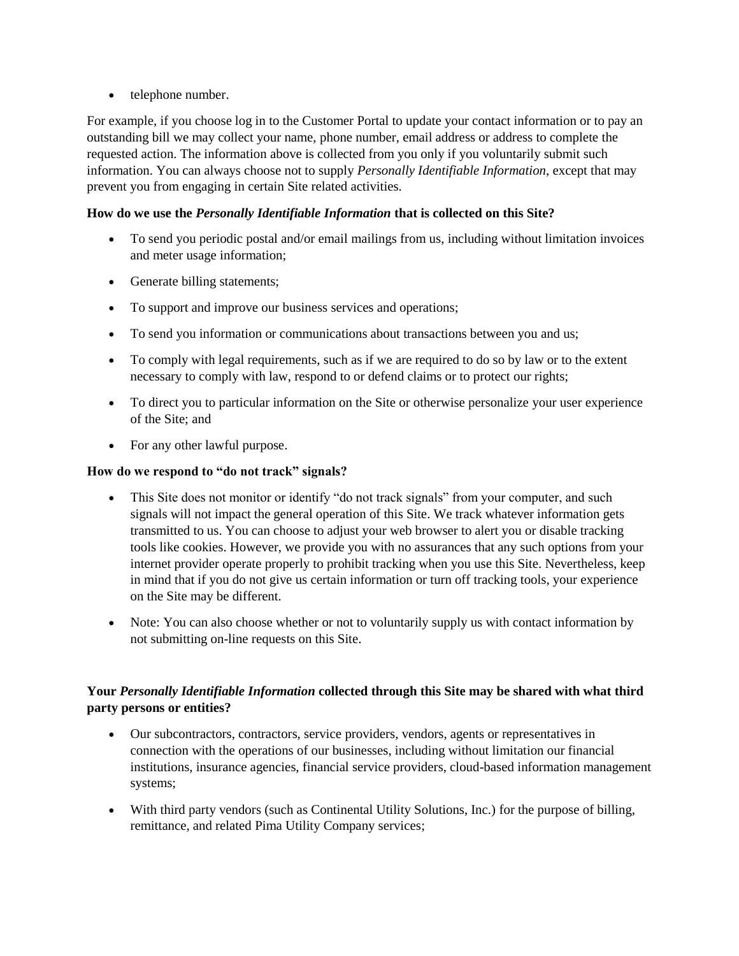• telephone number.

For example, if you choose log in to the Customer Portal to update your contact information or to pay an outstanding bill we may collect your name, phone number, email address or address to complete the requested action. The information above is collected from you only if you voluntarily submit such information. You can always choose not to supply *Personally Identifiable Information*, except that may prevent you from engaging in certain Site related activities.

# **How do we use the** *Personally Identifiable Information* **that is collected on this Site?**

- To send you periodic postal and/or email mailings from us, including without limitation invoices and meter usage information;
- Generate billing statements;
- To support and improve our business services and operations;
- To send you information or communications about transactions between you and us;
- To comply with legal requirements, such as if we are required to do so by law or to the extent necessary to comply with law, respond to or defend claims or to protect our rights;
- To direct you to particular information on the Site or otherwise personalize your user experience of the Site; and
- For any other lawful purpose.

#### **How do we respond to "do not track" signals?**

- This Site does not monitor or identify "do not track signals" from your computer, and such signals will not impact the general operation of this Site. We track whatever information gets transmitted to us. You can choose to adjust your web browser to alert you or disable tracking tools like cookies. However, we provide you with no assurances that any such options from your internet provider operate properly to prohibit tracking when you use this Site. Nevertheless, keep in mind that if you do not give us certain information or turn off tracking tools, your experience on the Site may be different.
- Note: You can also choose whether or not to voluntarily supply us with contact information by not submitting on-line requests on this Site.

#### **Your** *Personally Identifiable Information* **collected through this Site may be shared with what third party persons or entities?**

- Our subcontractors, contractors, service providers, vendors, agents or representatives in connection with the operations of our businesses, including without limitation our financial institutions, insurance agencies, financial service providers, cloud-based information management systems;
- With third party vendors (such as Continental Utility Solutions, Inc.) for the purpose of billing, remittance, and related Pima Utility Company services;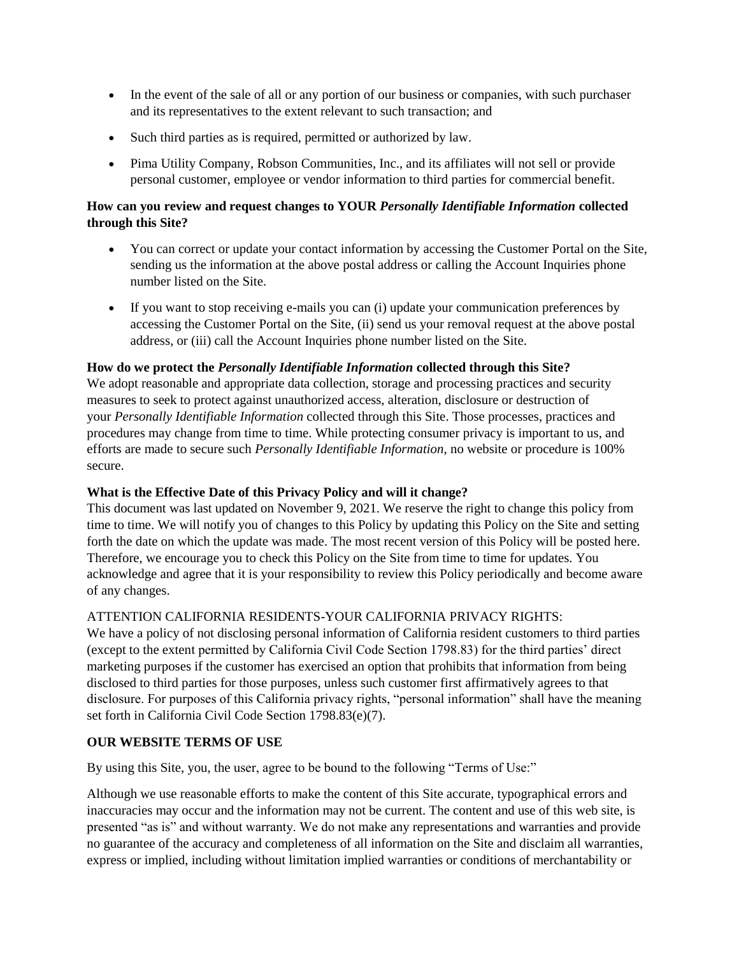- In the event of the sale of all or any portion of our business or companies, with such purchaser and its representatives to the extent relevant to such transaction; and
- Such third parties as is required, permitted or authorized by law.
- Pima Utility Company, Robson Communities, Inc., and its affiliates will not sell or provide personal customer, employee or vendor information to third parties for commercial benefit.

# **How can you review and request changes to YOUR** *Personally Identifiable Information* **collected through this Site?**

- You can correct or update your contact information by accessing the Customer Portal on the Site, sending us the information at the above postal address or calling the Account Inquiries phone number listed on the Site.
- If you want to stop receiving e-mails you can (i) update your communication preferences by accessing the Customer Portal on the Site, (ii) send us your removal request at the above postal address, or (iii) call the Account Inquiries phone number listed on the Site.

# **How do we protect the** *Personally Identifiable Information* **collected through this Site?**

We adopt reasonable and appropriate data collection, storage and processing practices and security measures to seek to protect against unauthorized access, alteration, disclosure or destruction of your *Personally Identifiable Information* collected through this Site. Those processes, practices and procedures may change from time to time. While protecting consumer privacy is important to us, and efforts are made to secure such *Personally Identifiable Information*, no website or procedure is 100% secure.

# **What is the Effective Date of this Privacy Policy and will it change?**

This document was last updated on November 9, 2021. We reserve the right to change this policy from time to time. We will notify you of changes to this Policy by updating this Policy on the Site and setting forth the date on which the update was made. The most recent version of this Policy will be posted here. Therefore, we encourage you to check this Policy on the Site from time to time for updates. You acknowledge and agree that it is your responsibility to review this Policy periodically and become aware of any changes.

# ATTENTION CALIFORNIA RESIDENTS-YOUR CALIFORNIA PRIVACY RIGHTS:

We have a policy of not disclosing personal information of California resident customers to third parties (except to the extent permitted by California Civil Code Section 1798.83) for the third parties' direct marketing purposes if the customer has exercised an option that prohibits that information from being disclosed to third parties for those purposes, unless such customer first affirmatively agrees to that disclosure. For purposes of this California privacy rights, "personal information" shall have the meaning set forth in California Civil Code Section 1798.83(e)(7).

# **OUR WEBSITE TERMS OF USE**

By using this Site, you, the user, agree to be bound to the following "Terms of Use:"

Although we use reasonable efforts to make the content of this Site accurate, typographical errors and inaccuracies may occur and the information may not be current. The content and use of this web site, is presented "as is" and without warranty. We do not make any representations and warranties and provide no guarantee of the accuracy and completeness of all information on the Site and disclaim all warranties, express or implied, including without limitation implied warranties or conditions of merchantability or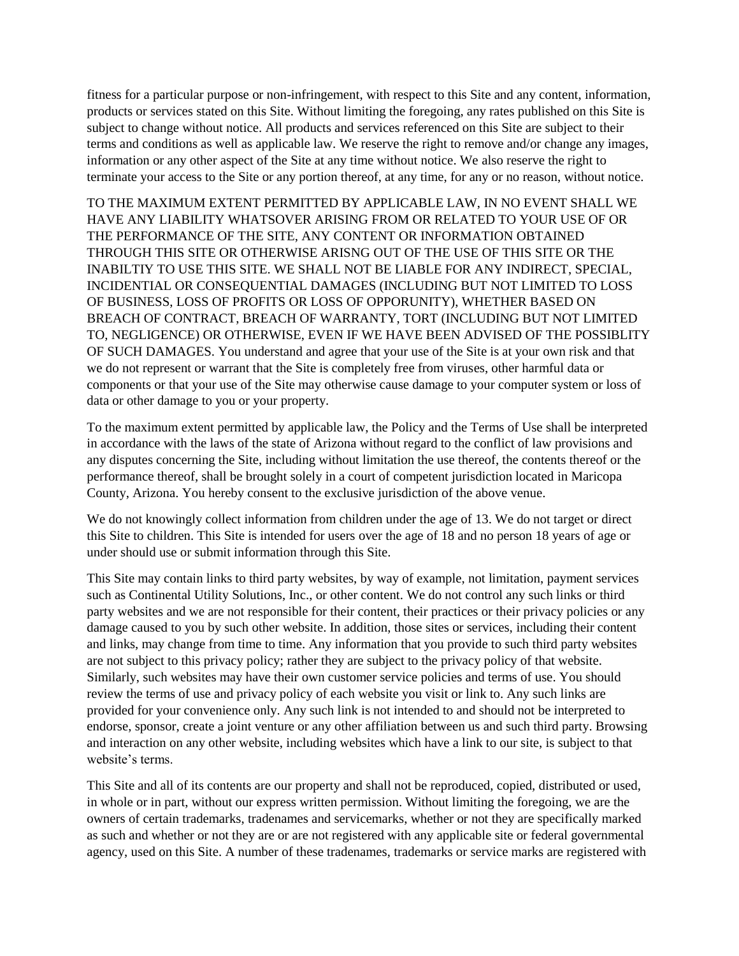fitness for a particular purpose or non-infringement, with respect to this Site and any content, information, products or services stated on this Site. Without limiting the foregoing, any rates published on this Site is subject to change without notice. All products and services referenced on this Site are subject to their terms and conditions as well as applicable law. We reserve the right to remove and/or change any images, information or any other aspect of the Site at any time without notice. We also reserve the right to terminate your access to the Site or any portion thereof, at any time, for any or no reason, without notice.

TO THE MAXIMUM EXTENT PERMITTED BY APPLICABLE LAW, IN NO EVENT SHALL WE HAVE ANY LIABILITY WHATSOVER ARISING FROM OR RELATED TO YOUR USE OF OR THE PERFORMANCE OF THE SITE, ANY CONTENT OR INFORMATION OBTAINED THROUGH THIS SITE OR OTHERWISE ARISNG OUT OF THE USE OF THIS SITE OR THE INABILTIY TO USE THIS SITE. WE SHALL NOT BE LIABLE FOR ANY INDIRECT, SPECIAL, INCIDENTIAL OR CONSEQUENTIAL DAMAGES (INCLUDING BUT NOT LIMITED TO LOSS OF BUSINESS, LOSS OF PROFITS OR LOSS OF OPPORUNITY), WHETHER BASED ON BREACH OF CONTRACT, BREACH OF WARRANTY, TORT (INCLUDING BUT NOT LIMITED TO, NEGLIGENCE) OR OTHERWISE, EVEN IF WE HAVE BEEN ADVISED OF THE POSSIBLITY OF SUCH DAMAGES. You understand and agree that your use of the Site is at your own risk and that we do not represent or warrant that the Site is completely free from viruses, other harmful data or components or that your use of the Site may otherwise cause damage to your computer system or loss of data or other damage to you or your property.

To the maximum extent permitted by applicable law, the Policy and the Terms of Use shall be interpreted in accordance with the laws of the state of Arizona without regard to the conflict of law provisions and any disputes concerning the Site, including without limitation the use thereof, the contents thereof or the performance thereof, shall be brought solely in a court of competent jurisdiction located in Maricopa County, Arizona. You hereby consent to the exclusive jurisdiction of the above venue.

We do not knowingly collect information from children under the age of 13. We do not target or direct this Site to children. This Site is intended for users over the age of 18 and no person 18 years of age or under should use or submit information through this Site.

This Site may contain links to third party websites, by way of example, not limitation, payment services such as Continental Utility Solutions, Inc., or other content. We do not control any such links or third party websites and we are not responsible for their content, their practices or their privacy policies or any damage caused to you by such other website. In addition, those sites or services, including their content and links, may change from time to time. Any information that you provide to such third party websites are not subject to this privacy policy; rather they are subject to the privacy policy of that website. Similarly, such websites may have their own customer service policies and terms of use. You should review the terms of use and privacy policy of each website you visit or link to. Any such links are provided for your convenience only. Any such link is not intended to and should not be interpreted to endorse, sponsor, create a joint venture or any other affiliation between us and such third party. Browsing and interaction on any other website, including websites which have a link to our site, is subject to that website's terms.

This Site and all of its contents are our property and shall not be reproduced, copied, distributed or used, in whole or in part, without our express written permission. Without limiting the foregoing, we are the owners of certain trademarks, tradenames and servicemarks, whether or not they are specifically marked as such and whether or not they are or are not registered with any applicable site or federal governmental agency, used on this Site. A number of these tradenames, trademarks or service marks are registered with